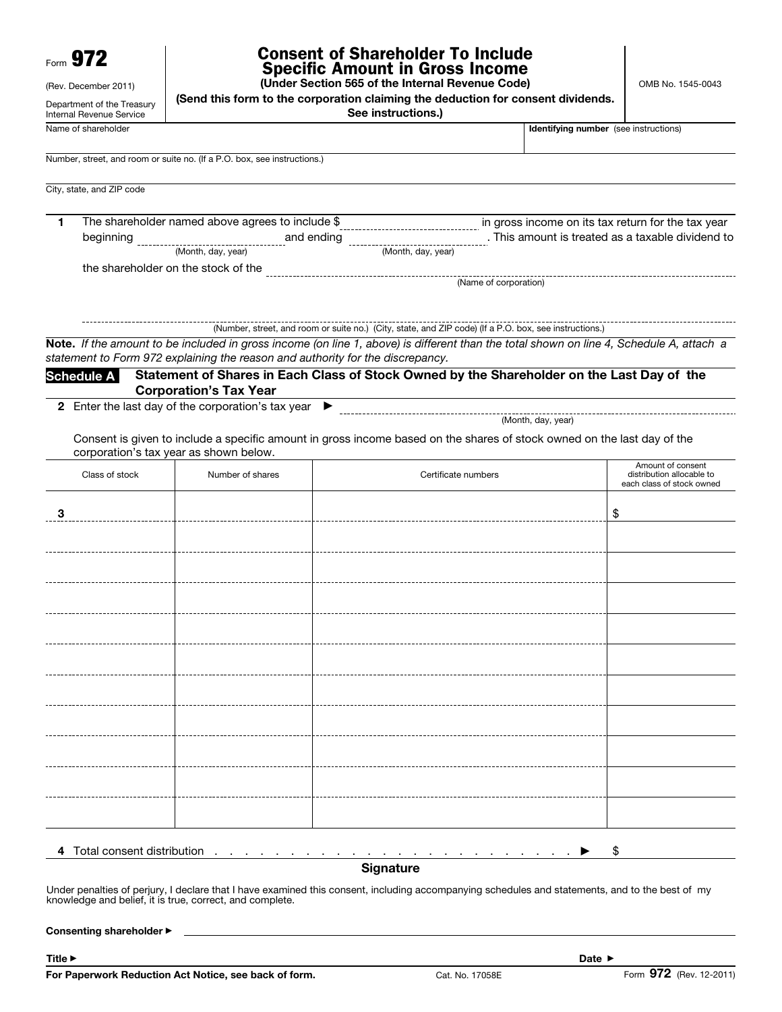| Form $972$                                                                     | <b>Consent of Shareholder To Include</b><br><b>Specific Amount in Gross Income</b><br>(Under Section 565 of the Internal Revenue Code) |  |  |  |  |
|--------------------------------------------------------------------------------|----------------------------------------------------------------------------------------------------------------------------------------|--|--|--|--|
| (Rev. December 2011)<br>Department of the Treasury<br>Internal Revenue Service | (Send this form to the corporation claiming the deduction for consent dividends.<br>See instructions.)                                 |  |  |  |  |
| Name of shareholder                                                            | Identifying number                                                                                                                     |  |  |  |  |
|                                                                                | Number, street, and room or suite no. (If a P.O. box, see instructions.)                                                               |  |  |  |  |
| City, state, and ZIP code                                                      |                                                                                                                                        |  |  |  |  |

| The shareholder named above agrees to include \$ |                    |                    | in gross income on its tax return for the tax year |
|--------------------------------------------------|--------------------|--------------------|----------------------------------------------------|
| beginning                                        | and ending         |                    | This amount is treated as a taxable dividend to    |
|                                                  | (Month, day, year) | (Month, day, year) |                                                    |
|                                                  |                    |                    |                                                    |

the shareholder on the stock of the

(Number, street, and room or suite no.) (City, state, and ZIP code) (If a P.O. box, see instructions.) Note. *If the amount to be included in gross income (on line 1, above) is different than the total shown on line 4, Schedule A, attach a statement to Form 972 explaining the reason and authority for the discrepancy.* 

Schedule A Statement of Shares in Each Class of Stock Owned by the Shareholder on the Last Day of the Corporation's Tax Year

2 Enter the last day of the corporation's tax year  $\blacktriangleright$ 

(Month, day, year) 

(Name of corporation)

Consent is given to include a specific amount in gross income based on the shares of stock owned on the last day of the corporation's tax year as shown below.

| Class of stock   | Number of shares | Certificate numbers | Amount of consent<br>distribution allocable to<br>each class of stock owned |  |  |  |  |
|------------------|------------------|---------------------|-----------------------------------------------------------------------------|--|--|--|--|
| 3                |                  |                     | \$                                                                          |  |  |  |  |
|                  |                  |                     |                                                                             |  |  |  |  |
|                  |                  |                     |                                                                             |  |  |  |  |
|                  |                  |                     |                                                                             |  |  |  |  |
|                  |                  |                     |                                                                             |  |  |  |  |
|                  |                  |                     |                                                                             |  |  |  |  |
|                  |                  |                     |                                                                             |  |  |  |  |
|                  |                  |                     |                                                                             |  |  |  |  |
|                  |                  |                     |                                                                             |  |  |  |  |
|                  |                  |                     |                                                                             |  |  |  |  |
|                  |                  |                     |                                                                             |  |  |  |  |
| \$               |                  |                     |                                                                             |  |  |  |  |
| <b>Signature</b> |                  |                     |                                                                             |  |  |  |  |

Under penalties of perjury, I declare that I have examined this consent, including accompanying schedules and statements, and to the best of my knowledge and belief, it is true, correct, and complete.

Consenting shareholder ▶

Title ▶ Date ▶

Identifying number (see instructions)